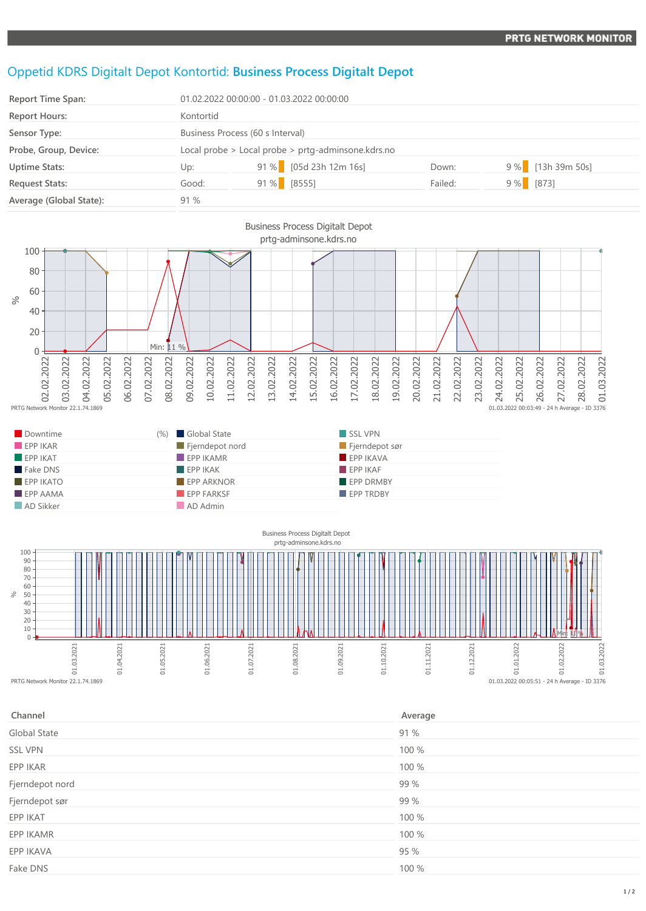## Oppetid KDRS Digitalt Depot Kontortid: **Business Process Digitalt Depot**

| <b>Report Time Span:</b> | 01.02.2022 00:00:00 - 01.03.2022 00:00:00          |               |                        |         |             |                   |
|--------------------------|----------------------------------------------------|---------------|------------------------|---------|-------------|-------------------|
| <b>Report Hours:</b>     | Kontortid                                          |               |                        |         |             |                   |
| Sensor Type:             | Business Process (60 s Interval)                   |               |                        |         |             |                   |
| Probe, Group, Device:    | Local probe > Local probe > prtg-adminsone.kdrs.no |               |                        |         |             |                   |
| <b>Uptime Stats:</b>     | Up:                                                |               | 91 % [05d 23h 12m 16s] | Down:   |             | 9 % [13h 39m 50s] |
| <b>Request Stats:</b>    | Good:                                              | $91\%$ [8555] |                        | Failed: | $9\%$ [873] |                   |
| Average (Global State):  | 91%                                                |               |                        |         |             |                   |





| Channel         | Average |
|-----------------|---------|
| Global State    | 91 %    |
| <b>SSL VPN</b>  | 100 %   |
| EPP IKAR        | 100 %   |
| Fjerndepot nord | 99 %    |
| Fjerndepot sør  | 99 %    |
| EPP IKAT        | 100 %   |
| EPP IKAMR       | 100 %   |
| EPP IKAVA       | 95 %    |
| Fake DNS        | 100 %   |
|                 |         |